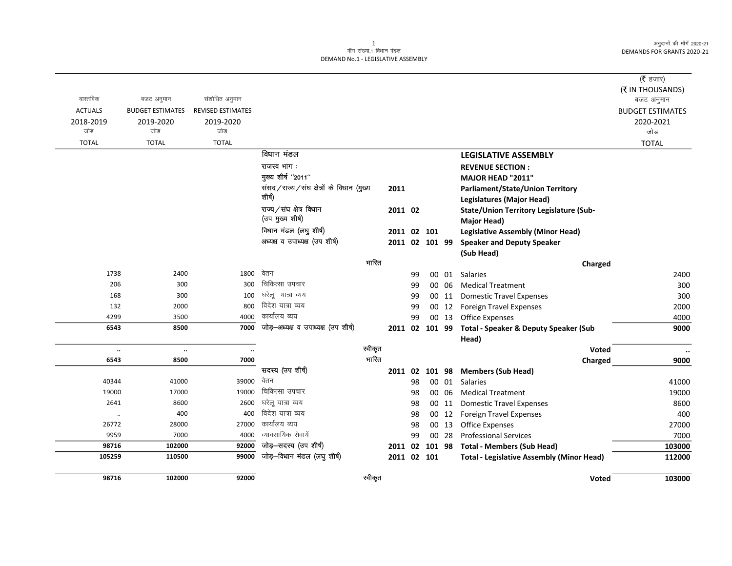अनुदानों की माँगें 2020-21 DEMANDS FOR GRANTS 2020-21

## 1<br>माँग संख्या.1 विधान मंडल DEMAND No.1 - LEGISLATIVE ASSEMBLY

|                  |                         |                          |                                          |         |          |             |                |                                                      | ( $\bar{\tau}$ हजार)    |
|------------------|-------------------------|--------------------------|------------------------------------------|---------|----------|-------------|----------------|------------------------------------------------------|-------------------------|
| वास्तविक         |                         |                          |                                          |         |          |             |                |                                                      | (₹ IN THOUSANDS)        |
|                  | बजट अनुमान              | संशोधित अनुमान           |                                          |         |          |             |                |                                                      | बजट अनुमान              |
| <b>ACTUALS</b>   | <b>BUDGET ESTIMATES</b> | <b>REVISED ESTIMATES</b> |                                          |         |          |             |                |                                                      | <b>BUDGET ESTIMATES</b> |
| 2018-2019<br>जोड | 2019-2020<br>जोड        | 2019-2020<br>जोड         |                                          |         |          |             |                |                                                      | 2020-2021<br>जोड़       |
| <b>TOTAL</b>     | <b>TOTAL</b>            | <b>TOTAL</b>             |                                          |         |          |             |                |                                                      | <b>TOTAL</b>            |
|                  |                         |                          | विधान मंडल                               |         |          |             |                | <b>LEGISLATIVE ASSEMBLY</b>                          |                         |
|                  |                         |                          | राजस्व भाग :                             |         |          |             |                | <b>REVENUE SECTION:</b>                              |                         |
|                  |                         |                          | मुख्य शीर्ष "2011"                       |         |          |             |                | MAJOR HEAD "2011"                                    |                         |
|                  |                         |                          | संसद/राज्य/संघ क्षेत्रों के विधान (मुख्य | 2011    |          |             |                | <b>Parliament/State/Union Territory</b>              |                         |
|                  |                         |                          | शीर्ष)                                   |         |          |             |                | Legislatures (Major Head)                            |                         |
|                  |                         |                          | राज्य/संघ क्षेत्र विधान                  |         | 2011 02  |             |                | State/Union Territory Legislature (Sub-              |                         |
|                  |                         |                          | (उप मुख्य शीर्ष)                         |         |          |             |                | <b>Major Head)</b>                                   |                         |
|                  |                         |                          | विधान मंडल (लघु शीर्ष)                   |         |          | 2011 02 101 |                | <b>Legislative Assembly (Minor Head)</b>             |                         |
|                  |                         |                          | अध्यक्ष व उपाध्यक्ष (उप शीर्ष)           |         |          |             | 2011 02 101 99 | <b>Speaker and Deputy Speaker</b>                    |                         |
|                  |                         |                          |                                          |         |          |             |                | (Sub Head)                                           |                         |
|                  |                         |                          |                                          | भारित   |          |             |                | Charged                                              |                         |
| 1738             | 2400                    | 1800                     | वेतन                                     |         | 99       |             | 00 01          | <b>Salaries</b>                                      | 2400                    |
| 206              | 300                     | 300                      | चिकित्सा उपचार                           |         | 99       |             | 00 06          | <b>Medical Treatment</b>                             | 300                     |
| 168              | 300                     | 100                      | घरेलू यात्रा व्यय                        |         | 99       |             | 00 11          | <b>Domestic Travel Expenses</b>                      | 300                     |
| 132              | 2000                    | 800                      | विदेश यात्रा व्यय                        |         | 99       |             | 00 12          | <b>Foreign Travel Expenses</b>                       | 2000                    |
| 4299             | 3500                    | 4000                     | कार्यालय व्यय                            |         | 99       |             | 00 13          | <b>Office Expenses</b>                               | 4000                    |
| 6543             | 8500                    | 7000                     | जोड—अध्यक्ष व उपाध्यक्ष (उप शीर्ष)       |         |          |             |                | 2011 02 101 99 Total - Speaker & Deputy Speaker (Sub | 9000                    |
|                  |                         |                          |                                          |         |          |             |                | Head)                                                |                         |
| $\ldots$         | $\ddotsc$               | $\ldots$                 |                                          | स्वीकृत |          |             |                | Voted                                                | $\ddotsc$               |
| 6543             | 8500                    | 7000                     |                                          | भारित   |          |             |                | Charged                                              | 9000                    |
|                  |                         | 39000                    | सदस्य (उप शीर्ष)<br>वेतन                 |         |          |             |                | 2011 02 101 98 Members (Sub Head)                    |                         |
| 40344<br>19000   | 41000<br>17000          | 19000                    | चिकित्सा उपचार                           |         | 98<br>98 |             |                | 00 01 Salaries<br>00 06 Medical Treatment            | 41000<br>19000          |
| 2641             | 8600                    | 2600                     | घरेलू यात्रा व्यय                        |         | 98       |             | 00 11          | <b>Domestic Travel Expenses</b>                      | 8600                    |
| $\ddotsc$        | 400                     | 400                      | विदेश यात्रा व्यय                        |         | 98       |             | 00 12          | <b>Foreign Travel Expenses</b>                       | 400                     |
| 26772            | 28000                   | 27000                    | कार्यालय व्यय                            |         | 98       |             | 00 13          | <b>Office Expenses</b>                               | 27000                   |
| 9959             | 7000                    | 4000                     | व्यावसायिक सेवायें                       |         | 99       |             | 00 28          | <b>Professional Services</b>                         | 7000                    |
| 98716            | 102000                  | 92000                    | जोड़-सदस्य (उप शीर्ष)                    |         |          |             |                | 2011 02 101 98 Total - Members (Sub Head)            | 103000                  |
| 105259           | 110500                  | 99000                    | जोड़-विधान मंडल (लघु शीर्ष)              |         |          | 2011 02 101 |                | <b>Total - Legislative Assembly (Minor Head)</b>     | 112000                  |
|                  |                         |                          |                                          |         |          |             |                |                                                      |                         |
| 98716            | 102000                  | 92000                    |                                          | स्वीकृत |          |             |                | <b>Voted</b>                                         | 103000                  |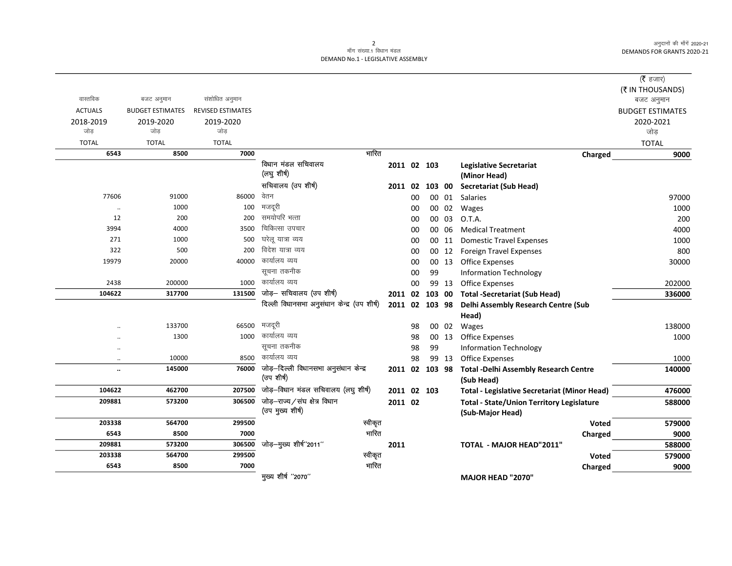अनुदानों की माँगें 2020-21 DEMANDS FOR GRANTS 2020-21

## 2<br>माँग संख्या.1 विधान मंडल DEMAND No.1 - LEGISLATIVE ASSEMBLY

|                      |                         |                          |                                                           |             |    |                |       |                                                            | ( $\bar{\tau}$ हजार)    |
|----------------------|-------------------------|--------------------------|-----------------------------------------------------------|-------------|----|----------------|-------|------------------------------------------------------------|-------------------------|
|                      |                         |                          |                                                           |             |    |                |       |                                                            | (そ IN THOUSANDS)        |
| वास्तविक             | बजट अनुमान              | संशोधित अनुमान           |                                                           |             |    |                |       |                                                            | बजट अनुमान              |
| <b>ACTUALS</b>       | <b>BUDGET ESTIMATES</b> | <b>REVISED ESTIMATES</b> |                                                           |             |    |                |       |                                                            | <b>BUDGET ESTIMATES</b> |
| 2018-2019            | 2019-2020               | 2019-2020                |                                                           |             |    |                |       |                                                            | 2020-2021               |
| जोड़                 | जोड                     | जोड                      |                                                           |             |    |                |       |                                                            | जोड़                    |
| <b>TOTAL</b>         | <b>TOTAL</b>            | <b>TOTAL</b>             |                                                           |             |    |                |       |                                                            | <b>TOTAL</b>            |
| 6543                 | 8500                    | 7000                     | भारित                                                     |             |    |                |       | Charged                                                    | 9000                    |
|                      |                         |                          | विधान मंडल सचिवालय<br>(लघु शीर्ष)                         | 2011 02 103 |    |                |       | <b>Legislative Secretariat</b><br>(Minor Head)             |                         |
|                      |                         |                          | सचिवालय (उप शीर्ष)                                        |             |    | 2011 02 103 00 |       | <b>Secretariat (Sub Head)</b>                              |                         |
| 77606                | 91000                   | 86000                    | वेतन                                                      |             | 00 |                | 00 01 | Salaries                                                   | 97000                   |
|                      | 1000                    | 100                      | मजदूरी                                                    |             | 00 |                | 00 02 | Wages                                                      | 1000                    |
| 12                   | 200                     | 200                      | समयोपरि भत्ता                                             |             | 00 | 00             | 03    | O.T.A.                                                     | 200                     |
| 3994                 | 4000                    | 3500                     | चिकित्सा उपचार                                            |             | 00 | 00             | 06    | <b>Medical Treatment</b>                                   | 4000                    |
| 271                  | 1000                    | 500                      | घरेलू यात्रा व्यय                                         |             | 00 |                | 00 11 | <b>Domestic Travel Expenses</b>                            | 1000                    |
| 322                  | 500                     | 200                      | विदेश यात्रा व्यय                                         |             | 00 | 00             | 12    | Foreign Travel Expenses                                    | 800                     |
| 19979                | 20000                   | 40000                    | कार्यालय व्यय                                             |             | 00 |                | 00 13 | <b>Office Expenses</b>                                     | 30000                   |
|                      |                         |                          | सूचना तकनीक                                               |             | 00 | 99             |       | <b>Information Technology</b>                              |                         |
| 2438                 | 200000                  | 1000                     | कार्यालय व्यय                                             |             | 00 |                | 99 13 | Office Expenses                                            | 202000                  |
| 104622               | 317700                  | 131500                   | जोड़- सचिवालय (उप शीर्ष)                                  |             |    | 2011 02 103 00 |       | <b>Total -Secretariat (Sub Head)</b>                       | 336000                  |
|                      |                         |                          | दिल्ली विधानसभा अनुसंधान केन्द्र (उप शीर्ष)               |             |    | 2011 02 103 98 |       | Delhi Assembly Research Centre (Sub                        |                         |
|                      |                         |                          |                                                           |             |    |                |       | Head)                                                      |                         |
|                      | 133700                  | 66500                    | मजदूरी                                                    |             | 98 |                | 00 02 | Wages                                                      | 138000                  |
|                      | 1300                    | 1000                     | कार्यालय व्यय                                             |             | 98 |                | 00 13 | <b>Office Expenses</b>                                     | 1000                    |
| $\ddot{\phantom{a}}$ |                         |                          | सूचना तकनीक                                               |             | 98 | 99             |       | <b>Information Technology</b>                              |                         |
| $\ddot{\phantom{a}}$ | 10000                   | 8500                     | कार्यालय व्यय                                             |             | 98 |                | 99 13 | <b>Office Expenses</b>                                     | 1000                    |
| $\ddot{\phantom{a}}$ | 145000                  |                          | 76000 जोड़-दिल्ली विधानसभा अनुसंधान केन्द्र<br>(उप शीर्ष) |             |    | 2011 02 103 98 |       | <b>Total -Delhi Assembly Research Centre</b><br>(Sub Head) | 140000                  |
| 104622               | 462700                  | 207500                   | जोड़-विधान मंडल सचिवालय (लघु शीर्ष)                       | 2011 02 103 |    |                |       | Total - Legislative Secretariat (Minor Head)               | 476000                  |
| 209881               | 573200                  |                          | 306500 जोड़-राज्य/संघ क्षेत्र विधान                       | 2011 02     |    |                |       | <b>Total - State/Union Territory Legislature</b>           | 588000                  |
|                      |                         |                          | (उप मुख्य शीर्ष)                                          |             |    |                |       | (Sub-Major Head)                                           |                         |
| 203338               | 564700                  | 299500                   | स्वीकृत                                                   |             |    |                |       | <b>Voted</b>                                               | 579000                  |
| 6543                 | 8500                    | 7000                     | भारित                                                     |             |    |                |       | Charged                                                    | 9000                    |
| 209881               | 573200                  | 306500                   | जोड़-मुख्य शीर्ष"2011"                                    | 2011        |    |                |       | <b>TOTAL - MAJOR HEAD"2011"</b>                            | 588000                  |
| 203338               | 564700                  | 299500                   | स्वीकृत                                                   |             |    |                |       | <b>Voted</b>                                               | 579000                  |
| 6543                 | 8500                    | 7000                     | भारित                                                     |             |    |                |       | Charged                                                    | 9000                    |
|                      |                         |                          | मुख्य शीर्ष "2070"                                        |             |    |                |       | <b>MAJOR HEAD "2070"</b>                                   |                         |